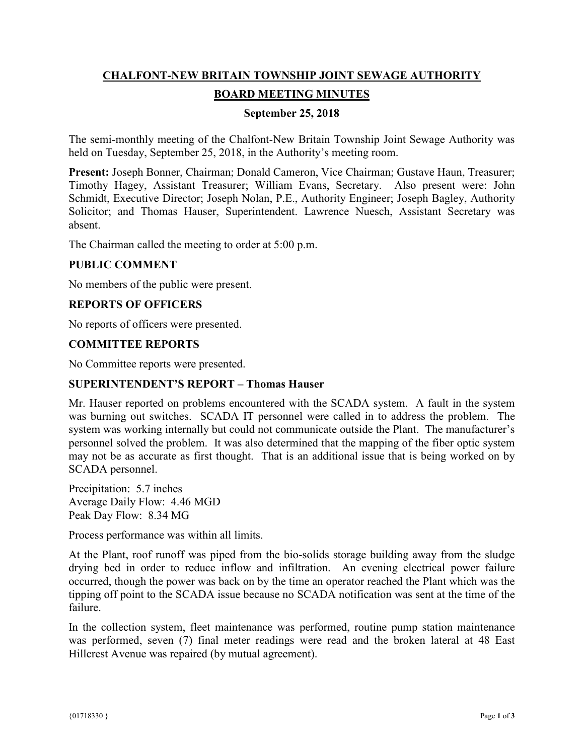# **CHALFONT-NEW BRITAIN TOWNSHIP JOINT SEWAGE AUTHORITY BOARD MEETING MINUTES**

## **September 25, 2018**

The semi-monthly meeting of the Chalfont-New Britain Township Joint Sewage Authority was held on Tuesday, September 25, 2018, in the Authority's meeting room.

**Present:** Joseph Bonner, Chairman; Donald Cameron, Vice Chairman; Gustave Haun, Treasurer; Timothy Hagey, Assistant Treasurer; William Evans, Secretary. Also present were: John Schmidt, Executive Director; Joseph Nolan, P.E., Authority Engineer; Joseph Bagley, Authority Solicitor; and Thomas Hauser, Superintendent. Lawrence Nuesch, Assistant Secretary was absent.

The Chairman called the meeting to order at 5:00 p.m.

## **PUBLIC COMMENT**

No members of the public were present.

## **REPORTS OF OFFICERS**

No reports of officers were presented.

#### **COMMITTEE REPORTS**

No Committee reports were presented.

#### **SUPERINTENDENT'S REPORT – Thomas Hauser**

Mr. Hauser reported on problems encountered with the SCADA system. A fault in the system was burning out switches. SCADA IT personnel were called in to address the problem. The system was working internally but could not communicate outside the Plant. The manufacturer's personnel solved the problem. It was also determined that the mapping of the fiber optic system may not be as accurate as first thought. That is an additional issue that is being worked on by SCADA personnel.

Precipitation: 5.7 inches Average Daily Flow: 4.46 MGD Peak Day Flow: 8.34 MG

Process performance was within all limits.

At the Plant, roof runoff was piped from the bio-solids storage building away from the sludge drying bed in order to reduce inflow and infiltration. An evening electrical power failure occurred, though the power was back on by the time an operator reached the Plant which was the tipping off point to the SCADA issue because no SCADA notification was sent at the time of the failure.

In the collection system, fleet maintenance was performed, routine pump station maintenance was performed, seven (7) final meter readings were read and the broken lateral at 48 East Hillcrest Avenue was repaired (by mutual agreement).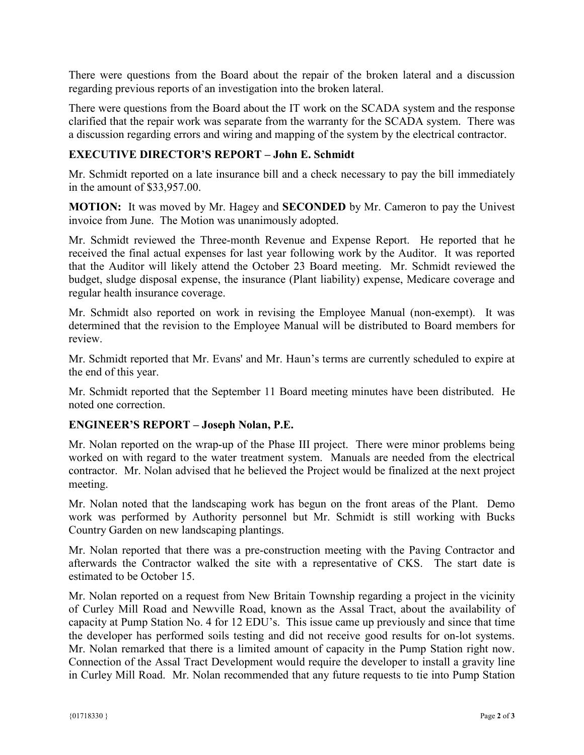There were questions from the Board about the repair of the broken lateral and a discussion regarding previous reports of an investigation into the broken lateral.

There were questions from the Board about the IT work on the SCADA system and the response clarified that the repair work was separate from the warranty for the SCADA system. There was a discussion regarding errors and wiring and mapping of the system by the electrical contractor.

# **EXECUTIVE DIRECTOR'S REPORT – John E. Schmidt**

Mr. Schmidt reported on a late insurance bill and a check necessary to pay the bill immediately in the amount of \$33,957.00.

**MOTION:** It was moved by Mr. Hagey and **SECONDED** by Mr. Cameron to pay the Univest invoice from June. The Motion was unanimously adopted.

Mr. Schmidt reviewed the Three-month Revenue and Expense Report. He reported that he received the final actual expenses for last year following work by the Auditor. It was reported that the Auditor will likely attend the October 23 Board meeting. Mr. Schmidt reviewed the budget, sludge disposal expense, the insurance (Plant liability) expense, Medicare coverage and regular health insurance coverage.

Mr. Schmidt also reported on work in revising the Employee Manual (non-exempt). It was determined that the revision to the Employee Manual will be distributed to Board members for review.

Mr. Schmidt reported that Mr. Evans' and Mr. Haun's terms are currently scheduled to expire at the end of this year.

Mr. Schmidt reported that the September 11 Board meeting minutes have been distributed. He noted one correction.

## **ENGINEER'S REPORT – Joseph Nolan, P.E.**

Mr. Nolan reported on the wrap-up of the Phase III project. There were minor problems being worked on with regard to the water treatment system. Manuals are needed from the electrical contractor. Mr. Nolan advised that he believed the Project would be finalized at the next project meeting.

Mr. Nolan noted that the landscaping work has begun on the front areas of the Plant. Demo work was performed by Authority personnel but Mr. Schmidt is still working with Bucks Country Garden on new landscaping plantings.

Mr. Nolan reported that there was a pre-construction meeting with the Paving Contractor and afterwards the Contractor walked the site with a representative of CKS. The start date is estimated to be October 15.

Mr. Nolan reported on a request from New Britain Township regarding a project in the vicinity of Curley Mill Road and Newville Road, known as the Assal Tract, about the availability of capacity at Pump Station No. 4 for 12 EDU's. This issue came up previously and since that time the developer has performed soils testing and did not receive good results for on-lot systems. Mr. Nolan remarked that there is a limited amount of capacity in the Pump Station right now. Connection of the Assal Tract Development would require the developer to install a gravity line in Curley Mill Road. Mr. Nolan recommended that any future requests to tie into Pump Station